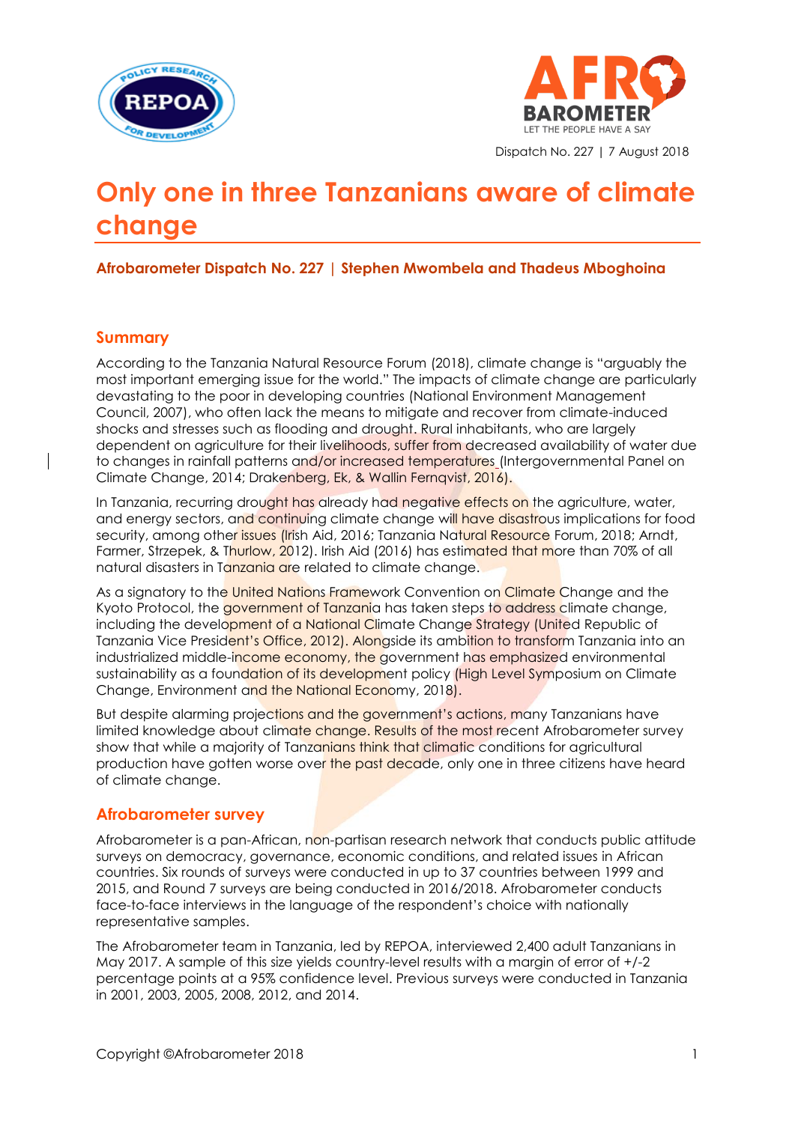



Dispatch No. 227 | 7 August 2018

# **Only one in three Tanzanians aware of climate change**

**Afrobarometer Dispatch No. 227 | Stephen Mwombela and Thadeus Mboghoina**

## **Summary**

According to the Tanzania Natural Resource Forum (2018), climate change is "arguably the most important emerging issue for the world." The impacts of climate change are particularly devastating to the poor in developing countries (National Environment Management Council, 2007), who often lack the means to mitigate and recover from climate-induced shocks and stresses such as flooding and drought. Rural inhabitants, who are largely dependent on agriculture for their livelihoods, suffer from decreased availability of water due to changes in rainfall patterns and/or increased temperatures (Intergovernmental Panel on Climate Change, 2014; Drakenberg, Ek, & Wallin Fernqvist, 2016).

In Tanzania, recurring drought has already had negative effects on the agriculture, water, and energy sectors, and continuing climate change will have disastrous implications for food security, among other issues (Irish Aid, 2016; Tanzania Natural Resource Forum, 2018; Arndt, Farmer, Strzepek, & Thurlow, 2012). Irish Aid (2016) has estimated that more than 70% of all natural disasters in Tanzania are related to climate change.

As a signatory to the United Nations Framework Convention on Climate Change and the Kyoto Protocol, the government of Tanzania has taken steps to address climate change, including the development of a National Climate Change Strategy (United Republic of Tanzania Vice President's Office, 2012). Alongside its ambition to transform Tanzania into an industrialized middle-income economy, the government has emphasized environmental sustainability as a foundation of its development policy (High Level Symposium on Climate Change, Environment and the National Economy, 2018).

But despite alarming projections and the government's actions, many Tanzanians have limited knowledge about climate change. Results of the most recent Afrobarometer survey show that while a majority of Tanzanians think that climatic conditions for agricultural production have gotten worse over the past decade, only one in three citizens have heard of climate change.

## **Afrobarometer survey**

Afrobarometer is a pan-African, non-partisan research network that conducts public attitude surveys on democracy, governance, economic conditions, and related issues in African countries. Six rounds of surveys were conducted in up to 37 countries between 1999 and 2015, and Round 7 surveys are being conducted in 2016/2018. Afrobarometer conducts face-to-face interviews in the language of the respondent's choice with nationally representative samples.

The Afrobarometer team in Tanzania, led by REPOA, interviewed 2,400 adult Tanzanians in May 2017. A sample of this size yields country-level results with a margin of error of +/-2 percentage points at a 95% confidence level. Previous surveys were conducted in Tanzania in 2001, 2003, 2005, 2008, 2012, and 2014.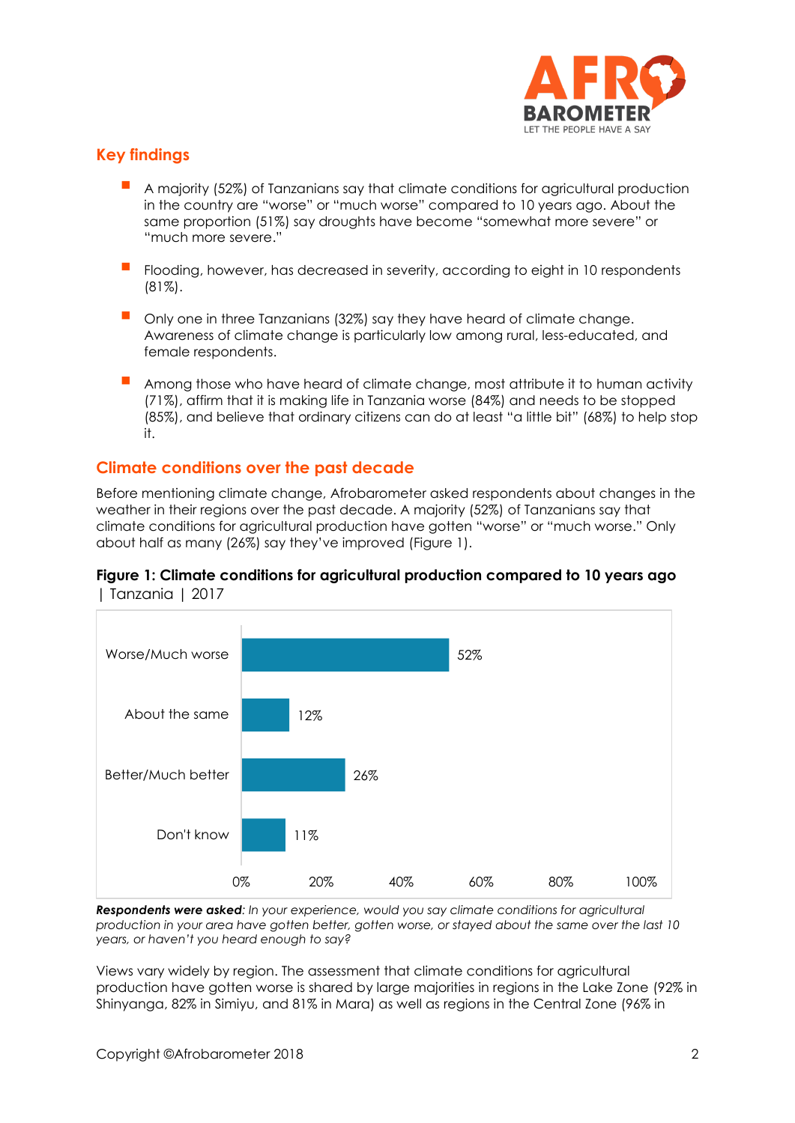

# **Key findings**

- A majority (52%) of Tanzanians say that climate conditions for agricultural production in the country are "worse" or "much worse" compared to 10 years ago. About the same proportion (51%) say droughts have become "somewhat more severe" or "much more severe."
- Flooding, however, has decreased in severity, according to eight in 10 respondents (81%).
- Only one in three Tanzanians (32%) say they have heard of climate change. Awareness of climate change is particularly low among rural, less-educated, and female respondents.
- Among those who have heard of climate change, most attribute it to human activity (71%), affirm that it is making life in Tanzania worse (84%) and needs to be stopped (85%), and believe that ordinary citizens can do at least "a little bit" (68%) to help stop it.

## **Climate conditions over the past decade**

Before mentioning climate change, Afrobarometer asked respondents about changes in the weather in their regions over the past decade. A majority (52%) of Tanzanians say that climate conditions for agricultural production have gotten "worse" or "much worse." Only about half as many (26%) say they've improved (Figure 1).





*Respondents were asked: In your experience, would you say climate conditions for agricultural production in your area have gotten better, gotten worse, or stayed about the same over the last 10 years, or haven't you heard enough to say?*

Views vary widely by region. The assessment that climate conditions for agricultural production have gotten worse is shared by large majorities in regions in the Lake Zone (92% in Shinyanga, 82% in Simiyu, and 81% in Mara) as well as regions in the Central Zone (96% in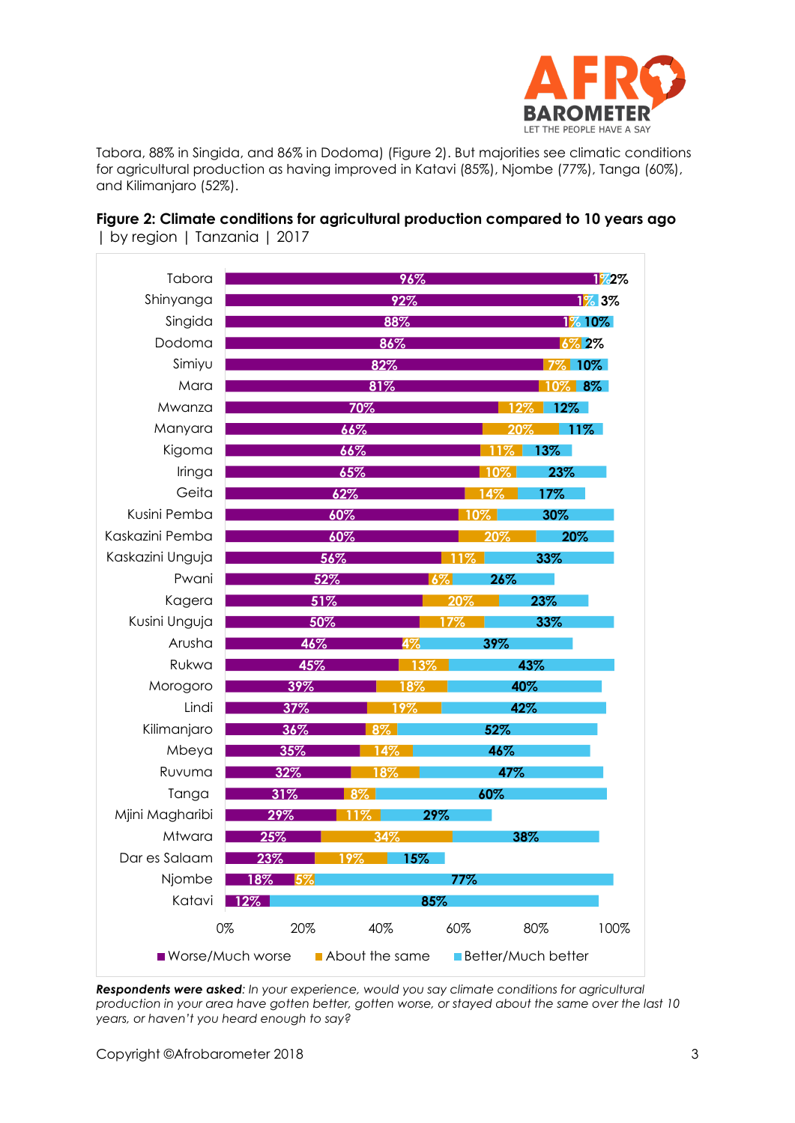

Tabora, 88% in Singida, and 86% in Dodoma) (Figure 2). But majorities see climatic conditions for agricultural production as having improved in Katavi (85%), Njombe (77%), Tanga (60%), and Kilimanjaro (52%).

## **Figure 2: Climate conditions for agricultural production compared to 10 years ago**  | by region | Tanzania | 2017



*Respondents were asked: In your experience, would you say climate conditions for agricultural production in your area have gotten better, gotten worse, or stayed about the same over the last 10 years, or haven't you heard enough to say?*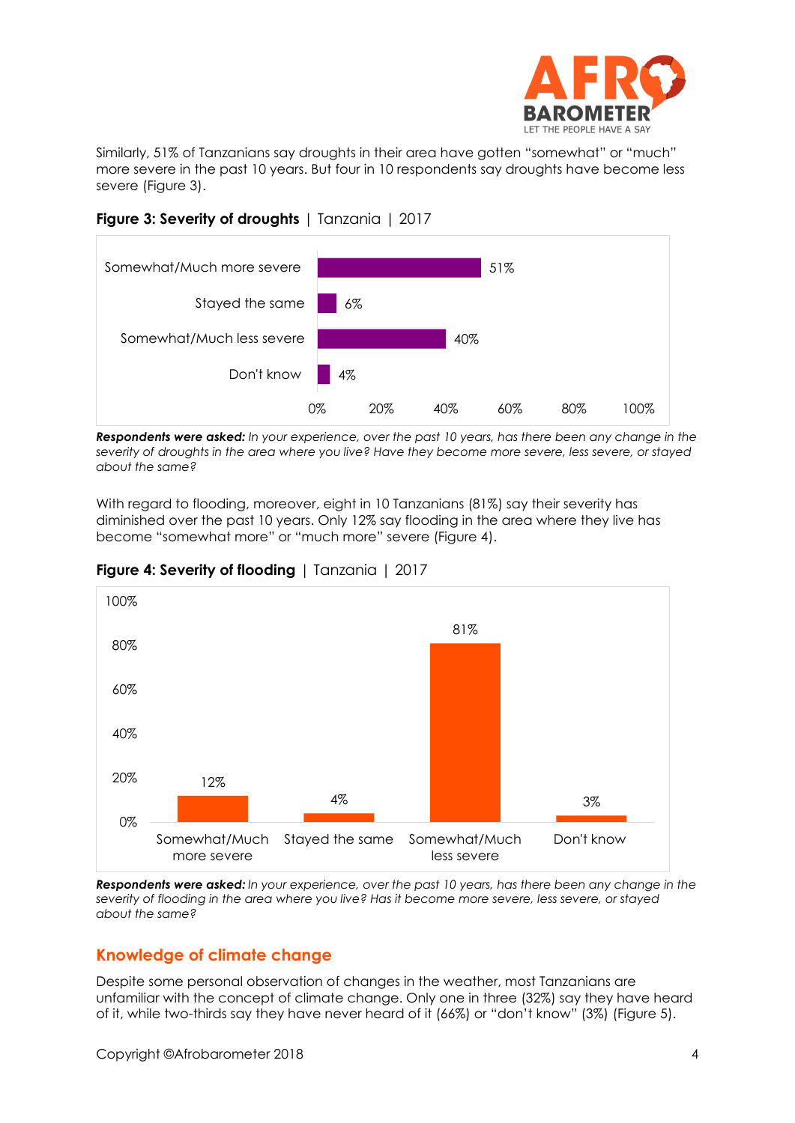

Similarly, 51% of Tanzanians say droughts in their area have gotten "somewhat" or "much" more severe in the past 10 years. But four in 10 respondents say droughts have become less severe (Figure 3).





*Respondents were asked: In your experience, over the past 10 years, has there been any change in the severity of droughts in the area where you live? Have they become more severe, less severe, or stayed about the same?*

With regard to flooding, moreover, eight in 10 Tanzanians (81%) say their severity has diminished over the past 10 years. Only 12% say flooding in the area where they live has become "somewhat more" or "much more" severe (Figure 4).



**Figure 4: Severity of flooding** | Tanzania | 2017

*Respondents were asked: In your experience, over the past 10 years, has there been any change in the severity of flooding in the area where you live? Has it become more severe, less severe, or stayed about the same?*

# **Knowledge of climate change**

Despite some personal observation of changes in the weather, most Tanzanians are unfamiliar with the concept of climate change. Only one in three (32%) say they have heard of it, while two-thirds say they have never heard of it (66%) or "don't know" (3%) (Figure 5).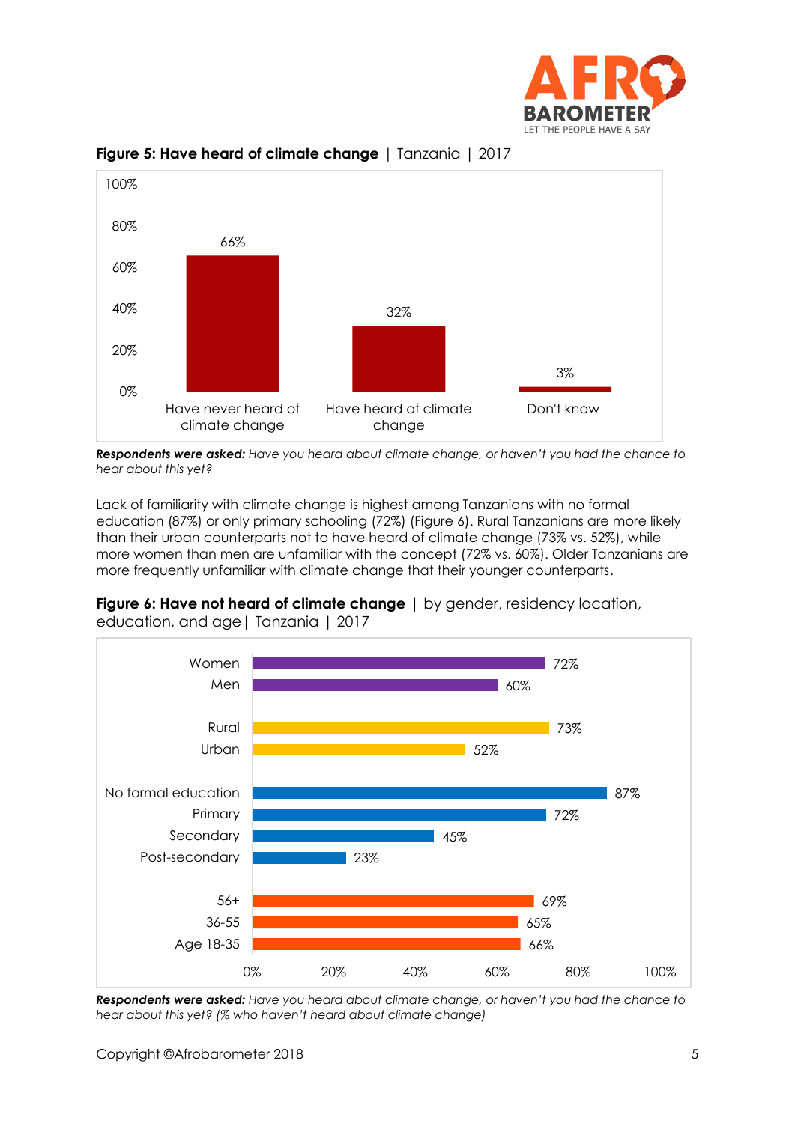



**Figure 5: Have heard of climate change** | Tanzania | 2017

*Respondents were asked: Have you heard about climate change, or haven't you had the chance to hear about this yet?*

Lack of familiarity with climate change is highest among Tanzanians with no formal education (87%) or only primary schooling (72%) (Figure 6). Rural Tanzanians are more likely than their urban counterparts not to have heard of climate change (73% vs. 52%), while more women than men are unfamiliar with the concept (72% vs. 60%). Older Tanzanians are more frequently unfamiliar with climate change that their younger counterparts.



**Figure 6: Have not heard of climate change** | by gender, residency location, education, and age| Tanzania | 2017

*Respondents were asked: Have you heard about climate change, or haven't you had the chance to hear about this yet? (% who haven't heard about climate change)*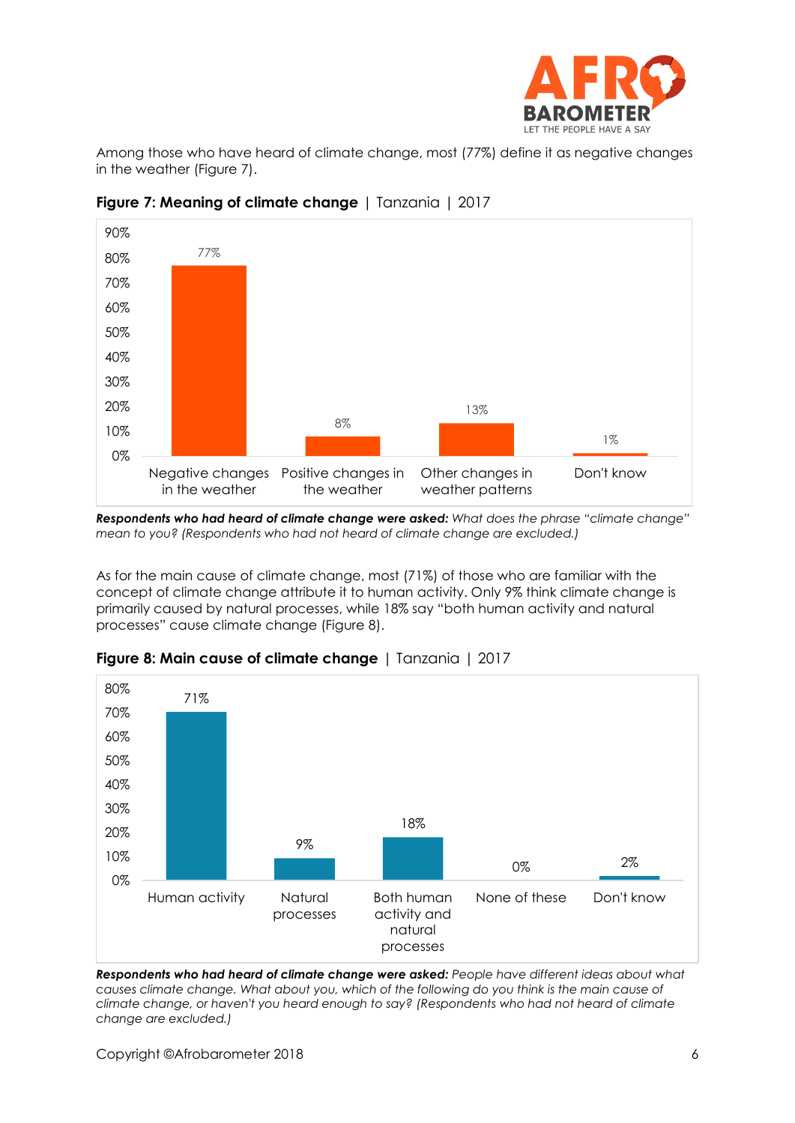

Among those who have heard of climate change, most (77%) define it as negative changes in the weather (Figure 7).



**Figure 7: Meaning of climate change** | Tanzania | 2017

*Respondents who had heard of climate change were asked: What does the phrase "climate change" mean to you? (Respondents who had not heard of climate change are excluded.)*

As for the main cause of climate change, most (71%) of those who are familiar with the concept of climate change attribute it to human activity. Only 9% think climate change is primarily caused by natural processes, while 18% say "both human activity and natural processes" cause climate change (Figure 8).



**Figure 8: Main cause of climate change** | Tanzania | 2017

*Respondents who had heard of climate change were asked: People have different ideas about what causes climate change. What about you, which of the following do you think is the main cause of climate change, or haven't you heard enough to say? (Respondents who had not heard of climate change are excluded.)*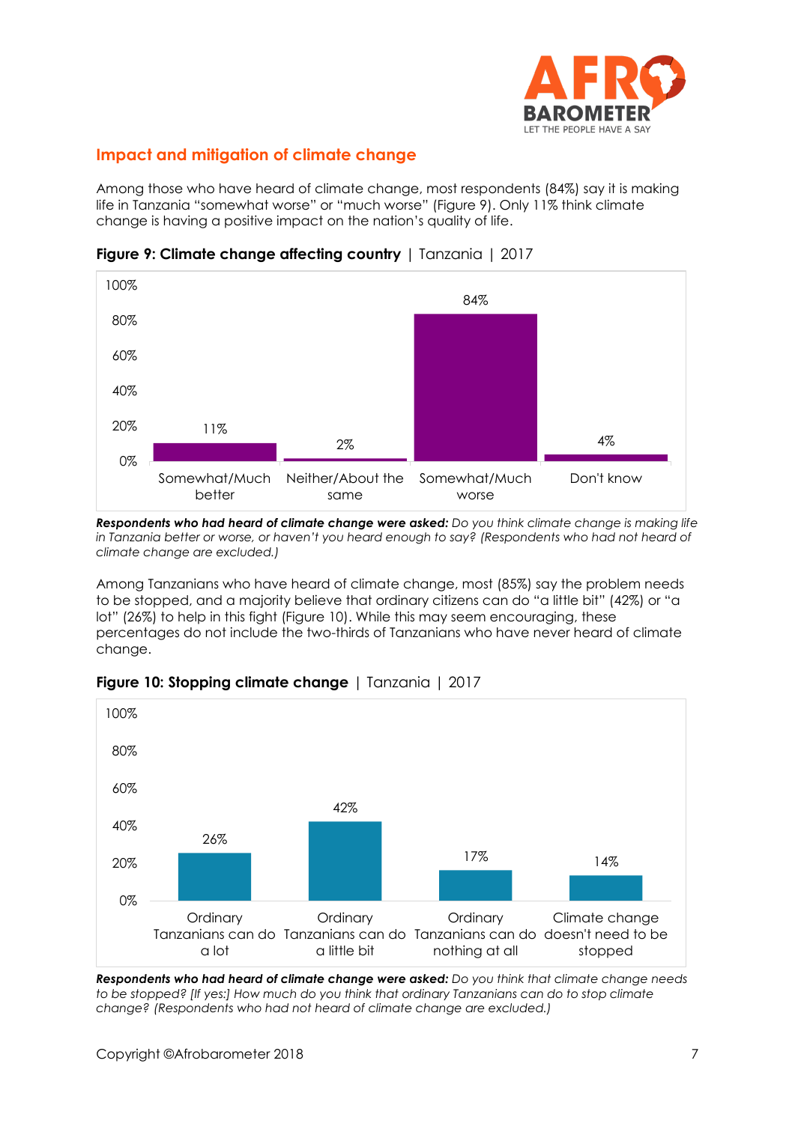

## **Impact and mitigation of climate change**

Among those who have heard of climate change, most respondents (84%) say it is making life in Tanzania "somewhat worse" or "much worse" (Figure 9). Only 11% think climate change is having a positive impact on the nation's quality of life.



**Figure 9: Climate change affecting country** | Tanzania | 2017

*Respondents who had heard of climate change were asked: Do you think climate change is making life in Tanzania better or worse, or haven't you heard enough to say? (Respondents who had not heard of climate change are excluded.)*

Among Tanzanians who have heard of climate change, most (85%) say the problem needs to be stopped, and a majority believe that ordinary citizens can do "a little bit" (42%) or "a lot" (26%) to help in this fight (Figure 10). While this may seem encouraging, these percentages do not include the two-thirds of Tanzanians who have never heard of climate change.



## **Figure 10: Stopping climate change** | Tanzania | 2017

*Respondents who had heard of climate change were asked: Do you think that climate change needs to be stopped? [If yes:] How much do you think that ordinary Tanzanians can do to stop climate change? (Respondents who had not heard of climate change are excluded.)*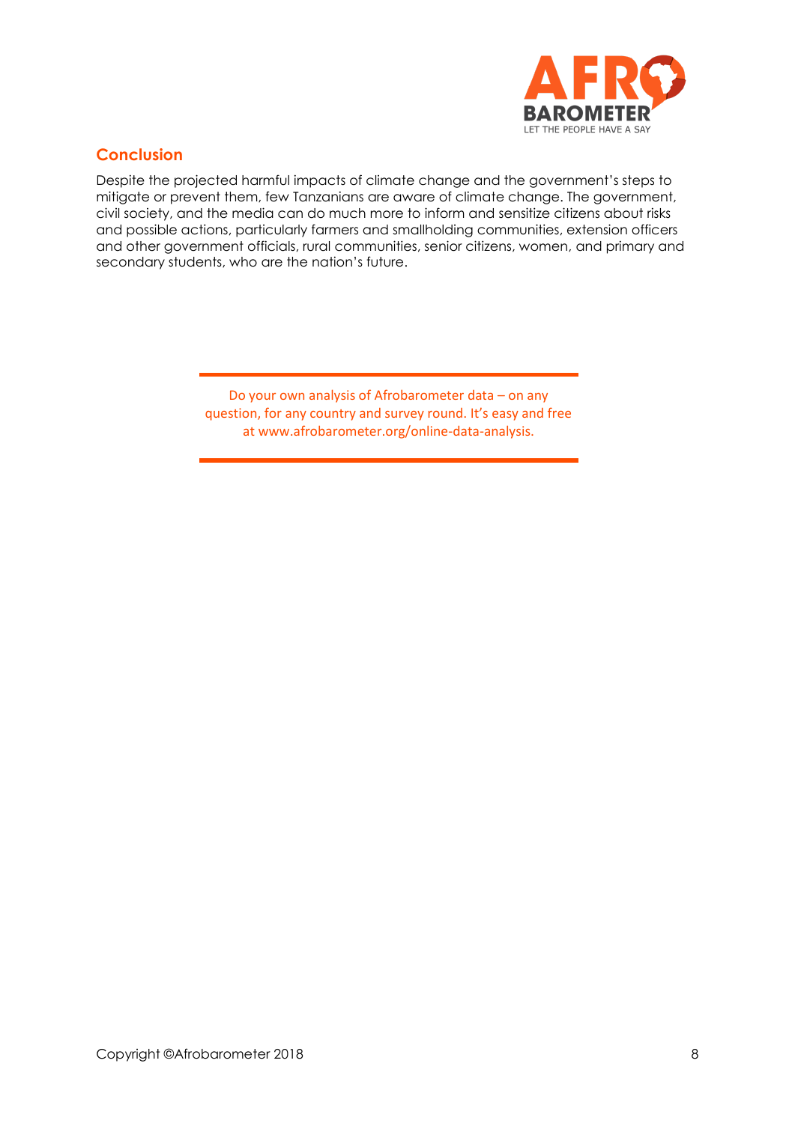

## **Conclusion**

Despite the projected harmful impacts of climate change and the government's steps to mitigate or prevent them, few Tanzanians are aware of climate change. The government, civil society, and the media can do much more to inform and sensitize citizens about risks and possible actions, particularly farmers and smallholding communities, extension officers and other government officials, rural communities, senior citizens, women, and primary and secondary students, who are the nation's future.

> Do your own analysis of Afrobarometer data – on any question, for any country and survey round. It's easy and free at www.afrobarometer.org/online-data-analysis.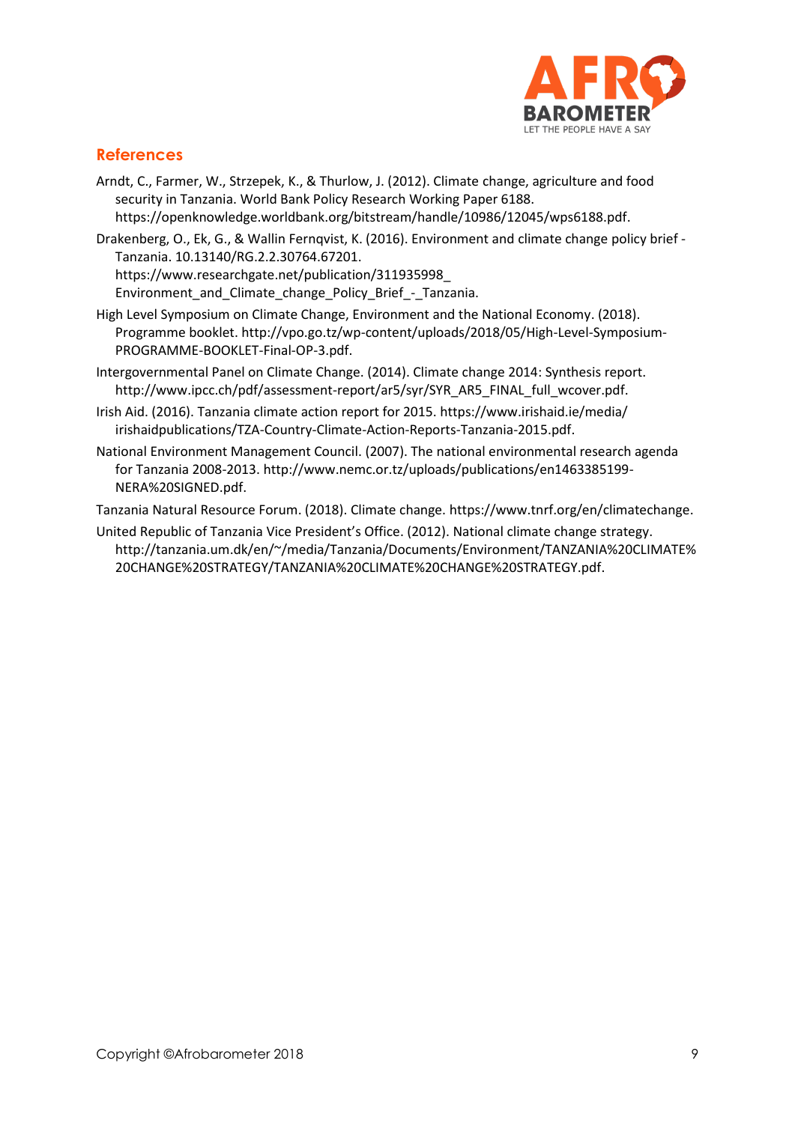

## **References**

- Arndt, C., Farmer, W., Strzepek, K., & Thurlow, J. (2012). Climate change, agriculture and food security in Tanzania. World Bank Policy Research Working Paper 6188. [https://openknowledge.worldbank.org/bitstream/handle/10986/12045/wps6188.pdf.](https://openknowledge.worldbank.org/bitstream/handle/10986/12045/wps6188.pdf)
- Drakenberg, O., Ek, G., & Wallin Fernqvist, K. (2016). Environment and climate change policy brief Tanzania. 10.13140/RG.2.2.30764.67201. [https://www.researchgate.net/publication/311935998\\_](https://www.researchgate.net/publication/311935998_%20Environment_and_Climate_change_Policy_Brief_-_Tanzania) [Environment\\_and\\_Climate\\_change\\_Policy\\_Brief\\_-\\_Tanzania.](https://www.researchgate.net/publication/311935998_%20Environment_and_Climate_change_Policy_Brief_-_Tanzania)
- High Level Symposium on Climate Change, Environment and the National Economy. (2018). Programme booklet. [http://vpo.go.tz/wp-content/uploads/2018/05/High-Level-Symposium-](http://vpo.go.tz/wp-content/uploads/2018/05/High-Level-Symposium-PROGRAMME-BOOKLET-Final-OP-3.pdf)[PROGRAMME-BOOKLET-Final-OP-3.pdf.](http://vpo.go.tz/wp-content/uploads/2018/05/High-Level-Symposium-PROGRAMME-BOOKLET-Final-OP-3.pdf)
- Intergovernmental Panel on Climate Change. (2014). Climate change 2014: Synthesis report. [http://www.ipcc.ch/pdf/assessment-report/ar5/syr/SYR\\_AR5\\_FINAL\\_full\\_wcover.pdf.](http://www.ipcc.ch/pdf/assessment-report/ar5/syr/SYR_AR5_FINAL_full_wcover.pdf)
- Irish Aid. (2016). Tanzania climate action report for 2015. [https://www.irishaid.ie/media/](https://www.irishaid.ie/media/%20irishaidpublications/TZA-Country-Climate-Action-Reports-Tanzania-2015.pdf) [irishaidpublications/TZA-Country-Climate-Action-Reports-Tanzania-2015.pdf.](https://www.irishaid.ie/media/%20irishaidpublications/TZA-Country-Climate-Action-Reports-Tanzania-2015.pdf)
- National Environment Management Council. (2007). The national environmental research agenda for Tanzania 2008-2013. [http://www.nemc.or.tz/uploads/publications/en1463385199-](http://www.nemc.or.tz/uploads/publications/en1463385199-NERA%20SIGNED.pdf) [NERA%20SIGNED.pdf.](http://www.nemc.or.tz/uploads/publications/en1463385199-NERA%20SIGNED.pdf)

Tanzania Natural Resource Forum. (2018). Climate change. [https://www.tnrf.org/en/climatechange.](https://www.tnrf.org/en/climatechange)

United Republic of Tanzania Vice President's Office. (2012). National climate change strategy. [http://tanzania.um.dk/en/~/media/Tanzania/Documents/Environment/TANZANIA%20CLIMATE%](http://tanzania.um.dk/en/~/media/Tanzania/Documents/Environment/TANZANIA%20CLIMATE%20CHANGE%20STRATEGY/TANZANIA%20CLIMATE%20CHANGE%20STRATEGY.pdf) [20CHANGE%20STRATEGY/TANZANIA%20CLIMATE%20CHANGE%20STRATEGY.pdf.](http://tanzania.um.dk/en/~/media/Tanzania/Documents/Environment/TANZANIA%20CLIMATE%20CHANGE%20STRATEGY/TANZANIA%20CLIMATE%20CHANGE%20STRATEGY.pdf)